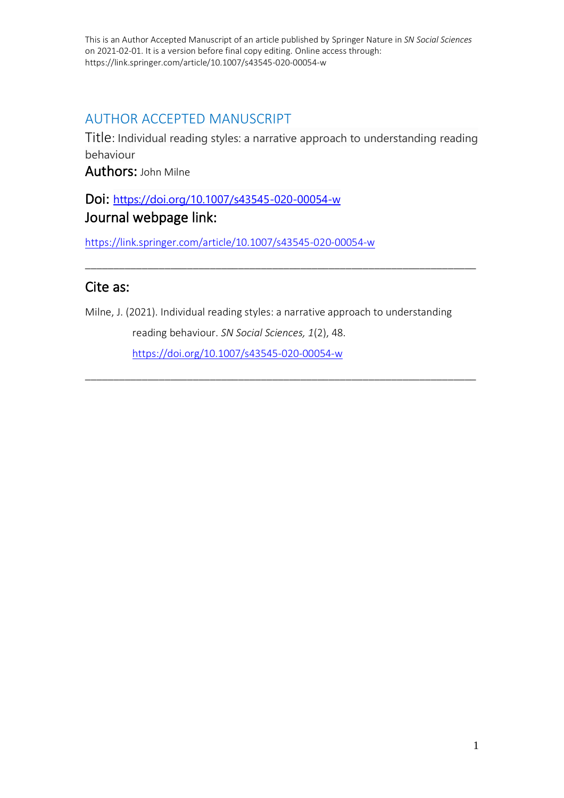# AUTHOR ACCEPTED MANUSCRIPT

Title: Individual reading styles: a narrative approach to understanding reading behaviour

Authors: John Milne

# Doi: <https://doi.org/10.1007/s43545-020-00054-w> Journal webpage link:

<https://link.springer.com/article/10.1007/s43545-020-00054-w>

# Cite as:

Milne, J. (2021). Individual reading styles: a narrative approach to understanding

\_\_\_\_\_\_\_\_\_\_\_\_\_\_\_\_\_\_\_\_\_\_\_\_\_\_\_\_\_\_\_\_\_\_\_\_\_\_\_\_\_\_\_\_\_\_\_\_\_\_\_\_\_\_\_\_\_\_\_\_\_\_\_\_\_\_\_\_\_

\_\_\_\_\_\_\_\_\_\_\_\_\_\_\_\_\_\_\_\_\_\_\_\_\_\_\_\_\_\_\_\_\_\_\_\_\_\_\_\_\_\_\_\_\_\_\_\_\_\_\_\_\_\_\_\_\_\_\_\_\_\_\_\_\_\_\_\_\_

reading behaviour. *SN Social Sciences, 1*(2), 48. <https://doi.org/10.1007/s43545-020-00054-w>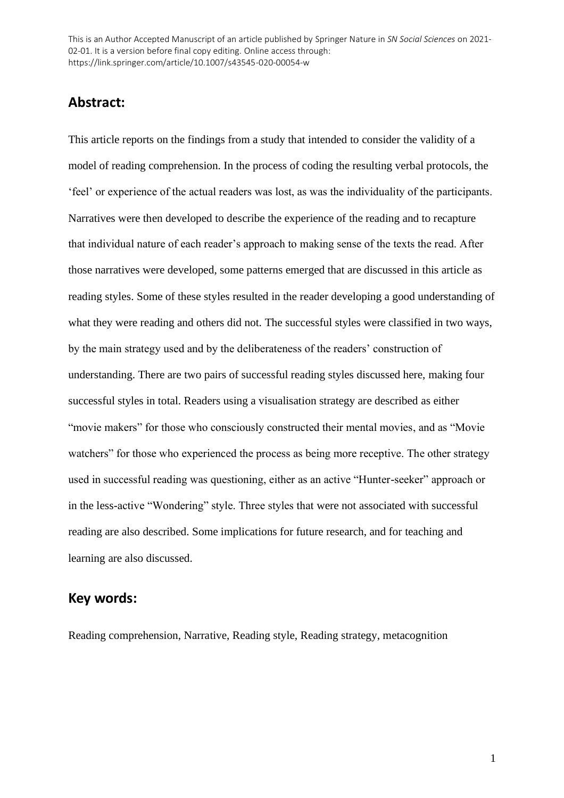# **Abstract:**

This article reports on the findings from a study that intended to consider the validity of a model of reading comprehension. In the process of coding the resulting verbal protocols, the 'feel' or experience of the actual readers was lost, as was the individuality of the participants. Narratives were then developed to describe the experience of the reading and to recapture that individual nature of each reader's approach to making sense of the texts the read. After those narratives were developed, some patterns emerged that are discussed in this article as reading styles. Some of these styles resulted in the reader developing a good understanding of what they were reading and others did not. The successful styles were classified in two ways, by the main strategy used and by the deliberateness of the readers' construction of understanding. There are two pairs of successful reading styles discussed here, making four successful styles in total. Readers using a visualisation strategy are described as either "movie makers" for those who consciously constructed their mental movies, and as "Movie watchers" for those who experienced the process as being more receptive. The other strategy used in successful reading was questioning, either as an active "Hunter-seeker" approach or in the less-active "Wondering" style. Three styles that were not associated with successful reading are also described. Some implications for future research, and for teaching and learning are also discussed.

## **Key words:**

Reading comprehension, Narrative, Reading style, Reading strategy, metacognition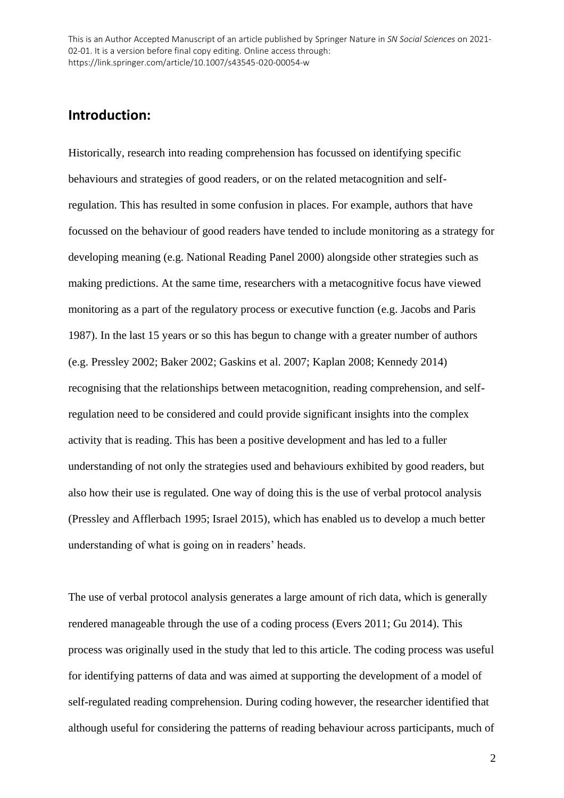## **Introduction:**

Historically, research into reading comprehension has focussed on identifying specific behaviours and strategies of good readers, or on the related metacognition and selfregulation. This has resulted in some confusion in places. For example, authors that have focussed on the behaviour of good readers have tended to include monitoring as a strategy for developing meaning (e.g. National Reading Panel 2000) alongside other strategies such as making predictions. At the same time, researchers with a metacognitive focus have viewed monitoring as a part of the regulatory process or executive function (e.g. Jacobs and Paris 1987). In the last 15 years or so this has begun to change with a greater number of authors (e.g. Pressley 2002; Baker 2002; Gaskins et al. 2007; Kaplan 2008; Kennedy 2014) recognising that the relationships between metacognition, reading comprehension, and selfregulation need to be considered and could provide significant insights into the complex activity that is reading. This has been a positive development and has led to a fuller understanding of not only the strategies used and behaviours exhibited by good readers, but also how their use is regulated. One way of doing this is the use of verbal protocol analysis (Pressley and Afflerbach 1995; Israel 2015), which has enabled us to develop a much better understanding of what is going on in readers' heads.

The use of verbal protocol analysis generates a large amount of rich data, which is generally rendered manageable through the use of a coding process (Evers 2011; Gu 2014). This process was originally used in the study that led to this article. The coding process was useful for identifying patterns of data and was aimed at supporting the development of a model of self-regulated reading comprehension. During coding however, the researcher identified that although useful for considering the patterns of reading behaviour across participants, much of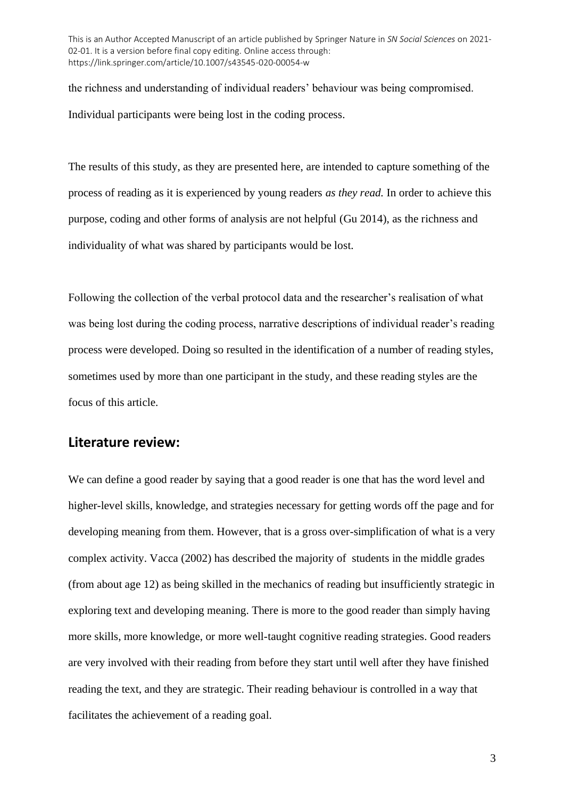the richness and understanding of individual readers' behaviour was being compromised. Individual participants were being lost in the coding process.

The results of this study, as they are presented here, are intended to capture something of the process of reading as it is experienced by young readers *as they read.* In order to achieve this purpose, coding and other forms of analysis are not helpful (Gu 2014), as the richness and individuality of what was shared by participants would be lost.

Following the collection of the verbal protocol data and the researcher's realisation of what was being lost during the coding process, narrative descriptions of individual reader's reading process were developed. Doing so resulted in the identification of a number of reading styles, sometimes used by more than one participant in the study, and these reading styles are the focus of this article.

# **Literature review:**

We can define a good reader by saying that a good reader is one that has the word level and higher-level skills, knowledge, and strategies necessary for getting words off the page and for developing meaning from them. However, that is a gross over-simplification of what is a very complex activity. Vacca (2002) has described the majority of students in the middle grades (from about age 12) as being skilled in the mechanics of reading but insufficiently strategic in exploring text and developing meaning. There is more to the good reader than simply having more skills, more knowledge, or more well-taught cognitive reading strategies. Good readers are very involved with their reading from before they start until well after they have finished reading the text, and they are strategic. Their reading behaviour is controlled in a way that facilitates the achievement of a reading goal.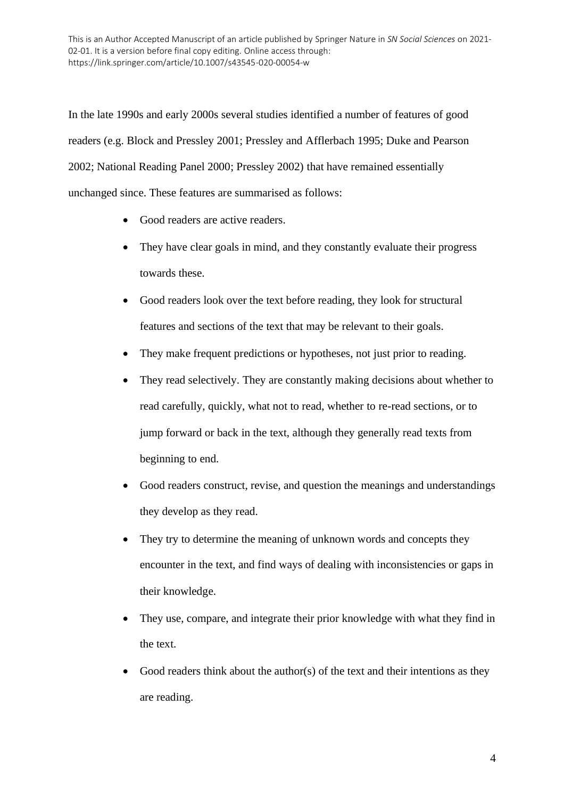In the late 1990s and early 2000s several studies identified a number of features of good readers (e.g. Block and Pressley 2001; Pressley and Afflerbach 1995; Duke and Pearson 2002; National Reading Panel 2000; Pressley 2002) that have remained essentially unchanged since. These features are summarised as follows:

- Good readers are active readers.
- They have clear goals in mind, and they constantly evaluate their progress towards these.
- Good readers look over the text before reading, they look for structural features and sections of the text that may be relevant to their goals.
- They make frequent predictions or hypotheses, not just prior to reading.
- They read selectively. They are constantly making decisions about whether to read carefully, quickly, what not to read, whether to re-read sections, or to jump forward or back in the text, although they generally read texts from beginning to end.
- Good readers construct, revise, and question the meanings and understandings they develop as they read.
- They try to determine the meaning of unknown words and concepts they encounter in the text, and find ways of dealing with inconsistencies or gaps in their knowledge.
- They use, compare, and integrate their prior knowledge with what they find in the text.
- Good readers think about the author(s) of the text and their intentions as they are reading.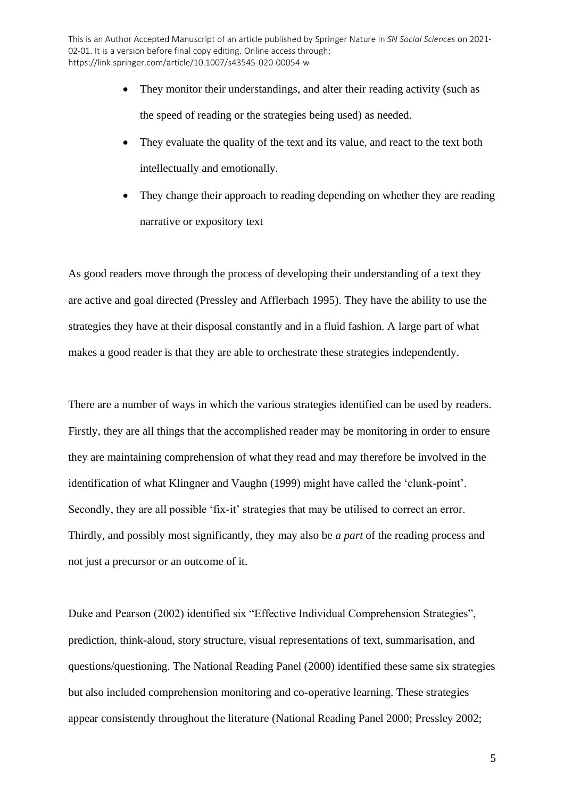- They monitor their understandings, and alter their reading activity (such as the speed of reading or the strategies being used) as needed.
- They evaluate the quality of the text and its value, and react to the text both intellectually and emotionally.
- They change their approach to reading depending on whether they are reading narrative or expository text

As good readers move through the process of developing their understanding of a text they are active and goal directed (Pressley and Afflerbach 1995). They have the ability to use the strategies they have at their disposal constantly and in a fluid fashion. A large part of what makes a good reader is that they are able to orchestrate these strategies independently.

There are a number of ways in which the various strategies identified can be used by readers. Firstly, they are all things that the accomplished reader may be monitoring in order to ensure they are maintaining comprehension of what they read and may therefore be involved in the identification of what Klingner and Vaughn (1999) might have called the 'clunk-point'. Secondly, they are all possible 'fix-it' strategies that may be utilised to correct an error. Thirdly, and possibly most significantly, they may also be *a part* of the reading process and not just a precursor or an outcome of it.

Duke and Pearson (2002) identified six "Effective Individual Comprehension Strategies", prediction, think-aloud, story structure, visual representations of text, summarisation, and questions/questioning. The National Reading Panel (2000) identified these same six strategies but also included comprehension monitoring and co-operative learning. These strategies appear consistently throughout the literature (National Reading Panel 2000; Pressley 2002;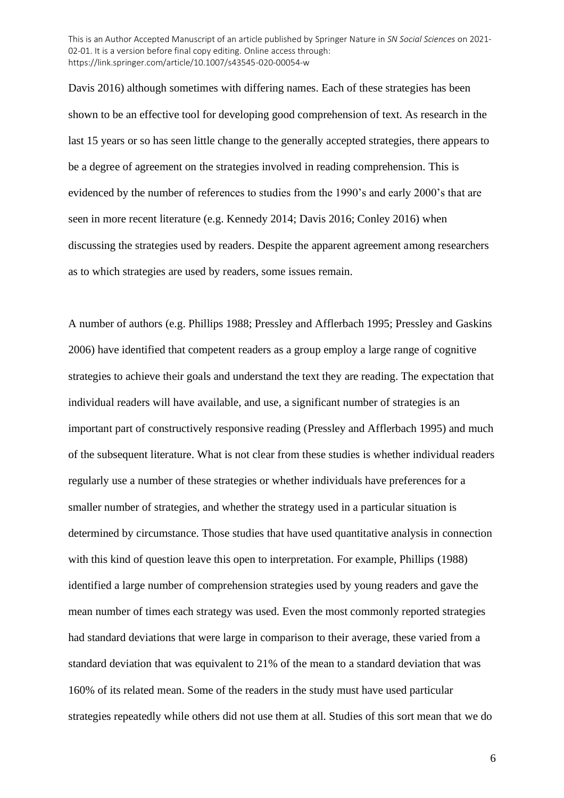Davis 2016) although sometimes with differing names. Each of these strategies has been shown to be an effective tool for developing good comprehension of text. As research in the last 15 years or so has seen little change to the generally accepted strategies, there appears to be a degree of agreement on the strategies involved in reading comprehension. This is evidenced by the number of references to studies from the 1990's and early 2000's that are seen in more recent literature (e.g. Kennedy 2014; Davis 2016; Conley 2016) when discussing the strategies used by readers. Despite the apparent agreement among researchers as to which strategies are used by readers, some issues remain.

A number of authors (e.g. Phillips 1988; Pressley and Afflerbach 1995; Pressley and Gaskins 2006) have identified that competent readers as a group employ a large range of cognitive strategies to achieve their goals and understand the text they are reading. The expectation that individual readers will have available, and use, a significant number of strategies is an important part of constructively responsive reading (Pressley and Afflerbach 1995) and much of the subsequent literature. What is not clear from these studies is whether individual readers regularly use a number of these strategies or whether individuals have preferences for a smaller number of strategies, and whether the strategy used in a particular situation is determined by circumstance. Those studies that have used quantitative analysis in connection with this kind of question leave this open to interpretation. For example, Phillips (1988) identified a large number of comprehension strategies used by young readers and gave the mean number of times each strategy was used. Even the most commonly reported strategies had standard deviations that were large in comparison to their average, these varied from a standard deviation that was equivalent to 21% of the mean to a standard deviation that was 160% of its related mean. Some of the readers in the study must have used particular strategies repeatedly while others did not use them at all. Studies of this sort mean that we do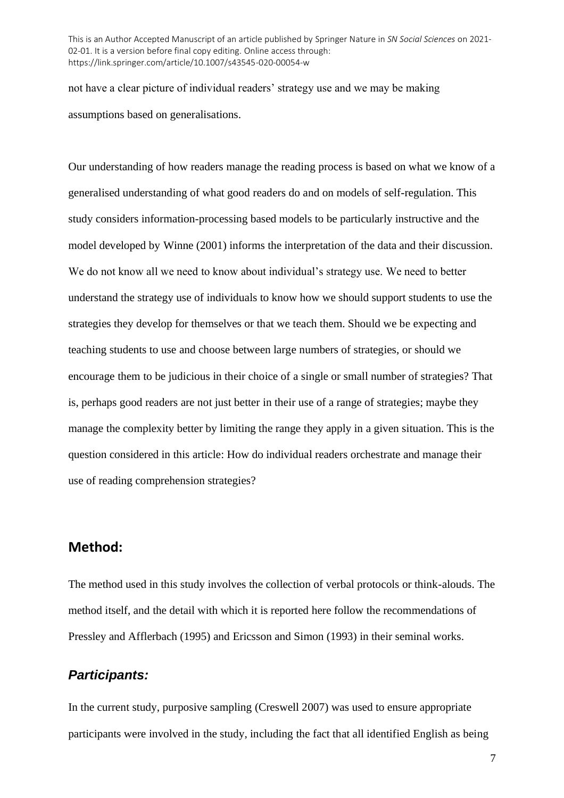not have a clear picture of individual readers' strategy use and we may be making assumptions based on generalisations.

Our understanding of how readers manage the reading process is based on what we know of a generalised understanding of what good readers do and on models of self-regulation. This study considers information-processing based models to be particularly instructive and the model developed by Winne (2001) informs the interpretation of the data and their discussion. We do not know all we need to know about individual's strategy use. We need to better understand the strategy use of individuals to know how we should support students to use the strategies they develop for themselves or that we teach them. Should we be expecting and teaching students to use and choose between large numbers of strategies, or should we encourage them to be judicious in their choice of a single or small number of strategies? That is, perhaps good readers are not just better in their use of a range of strategies; maybe they manage the complexity better by limiting the range they apply in a given situation. This is the question considered in this article: How do individual readers orchestrate and manage their use of reading comprehension strategies?

## **Method:**

The method used in this study involves the collection of verbal protocols or think-alouds. The method itself, and the detail with which it is reported here follow the recommendations of Pressley and Afflerbach (1995) and Ericsson and Simon (1993) in their seminal works.

# *Participants:*

In the current study, purposive sampling (Creswell 2007) was used to ensure appropriate participants were involved in the study, including the fact that all identified English as being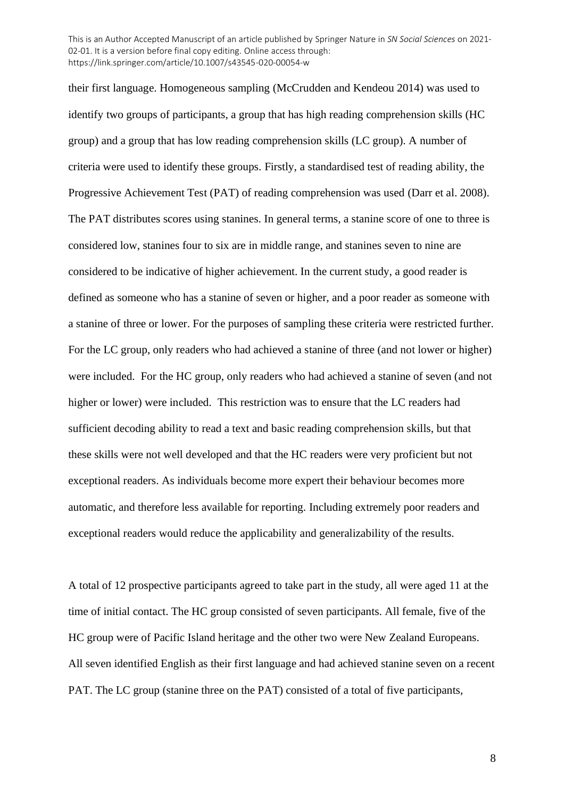their first language. Homogeneous sampling (McCrudden and Kendeou 2014) was used to identify two groups of participants, a group that has high reading comprehension skills (HC group) and a group that has low reading comprehension skills (LC group). A number of criteria were used to identify these groups. Firstly, a standardised test of reading ability, the Progressive Achievement Test (PAT) of reading comprehension was used (Darr et al. 2008). The PAT distributes scores using stanines. In general terms, a stanine score of one to three is considered low, stanines four to six are in middle range, and stanines seven to nine are considered to be indicative of higher achievement. In the current study, a good reader is defined as someone who has a stanine of seven or higher, and a poor reader as someone with a stanine of three or lower. For the purposes of sampling these criteria were restricted further. For the LC group, only readers who had achieved a stanine of three (and not lower or higher) were included. For the HC group, only readers who had achieved a stanine of seven (and not higher or lower) were included. This restriction was to ensure that the LC readers had sufficient decoding ability to read a text and basic reading comprehension skills, but that these skills were not well developed and that the HC readers were very proficient but not exceptional readers. As individuals become more expert their behaviour becomes more automatic, and therefore less available for reporting. Including extremely poor readers and exceptional readers would reduce the applicability and generalizability of the results.

A total of 12 prospective participants agreed to take part in the study, all were aged 11 at the time of initial contact. The HC group consisted of seven participants. All female, five of the HC group were of Pacific Island heritage and the other two were New Zealand Europeans. All seven identified English as their first language and had achieved stanine seven on a recent PAT. The LC group (stanine three on the PAT) consisted of a total of five participants,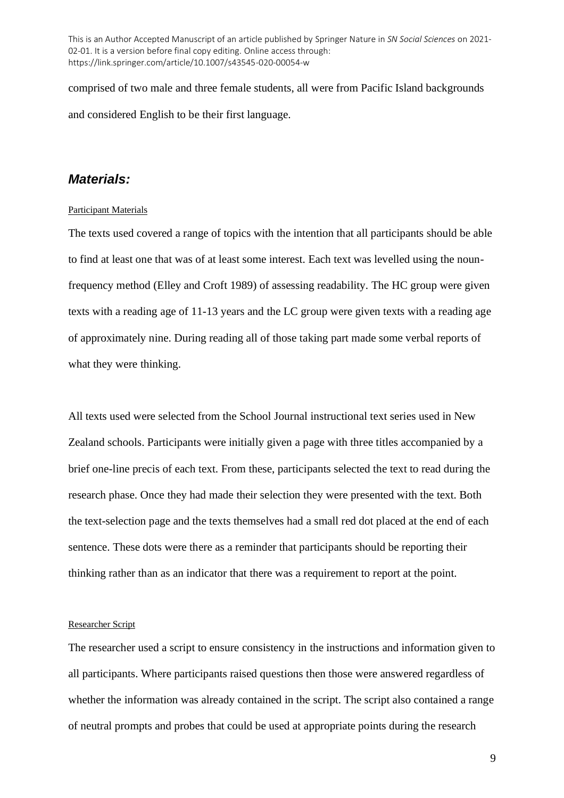comprised of two male and three female students, all were from Pacific Island backgrounds and considered English to be their first language.

### *Materials:*

#### Participant Materials

The texts used covered a range of topics with the intention that all participants should be able to find at least one that was of at least some interest. Each text was levelled using the nounfrequency method (Elley and Croft 1989) of assessing readability. The HC group were given texts with a reading age of 11-13 years and the LC group were given texts with a reading age of approximately nine. During reading all of those taking part made some verbal reports of what they were thinking.

All texts used were selected from the School Journal instructional text series used in New Zealand schools. Participants were initially given a page with three titles accompanied by a brief one-line precis of each text. From these, participants selected the text to read during the research phase. Once they had made their selection they were presented with the text. Both the text-selection page and the texts themselves had a small red dot placed at the end of each sentence. These dots were there as a reminder that participants should be reporting their thinking rather than as an indicator that there was a requirement to report at the point.

### Researcher Script

The researcher used a script to ensure consistency in the instructions and information given to all participants. Where participants raised questions then those were answered regardless of whether the information was already contained in the script. The script also contained a range of neutral prompts and probes that could be used at appropriate points during the research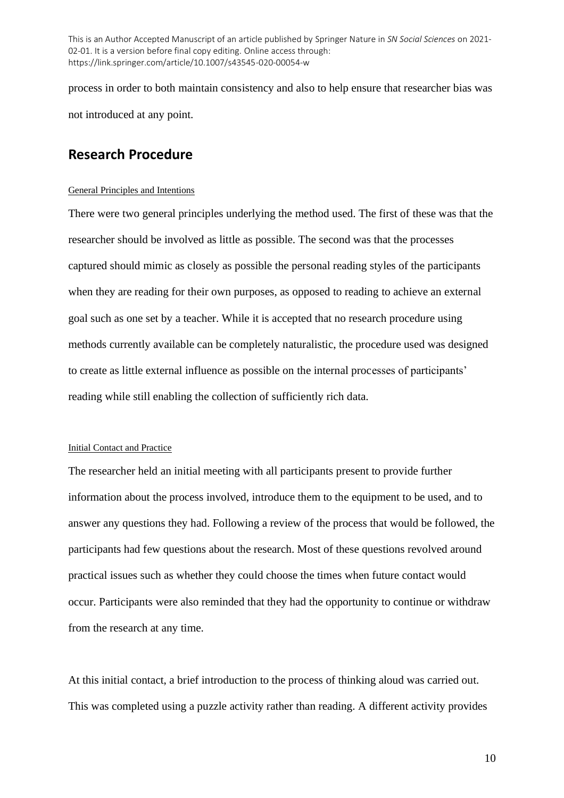process in order to both maintain consistency and also to help ensure that researcher bias was not introduced at any point.

## **Research Procedure**

### General Principles and Intentions

There were two general principles underlying the method used. The first of these was that the researcher should be involved as little as possible. The second was that the processes captured should mimic as closely as possible the personal reading styles of the participants when they are reading for their own purposes, as opposed to reading to achieve an external goal such as one set by a teacher. While it is accepted that no research procedure using methods currently available can be completely naturalistic, the procedure used was designed to create as little external influence as possible on the internal processes of participants' reading while still enabling the collection of sufficiently rich data.

### Initial Contact and Practice

The researcher held an initial meeting with all participants present to provide further information about the process involved, introduce them to the equipment to be used, and to answer any questions they had. Following a review of the process that would be followed, the participants had few questions about the research. Most of these questions revolved around practical issues such as whether they could choose the times when future contact would occur. Participants were also reminded that they had the opportunity to continue or withdraw from the research at any time.

At this initial contact, a brief introduction to the process of thinking aloud was carried out. This was completed using a puzzle activity rather than reading. A different activity provides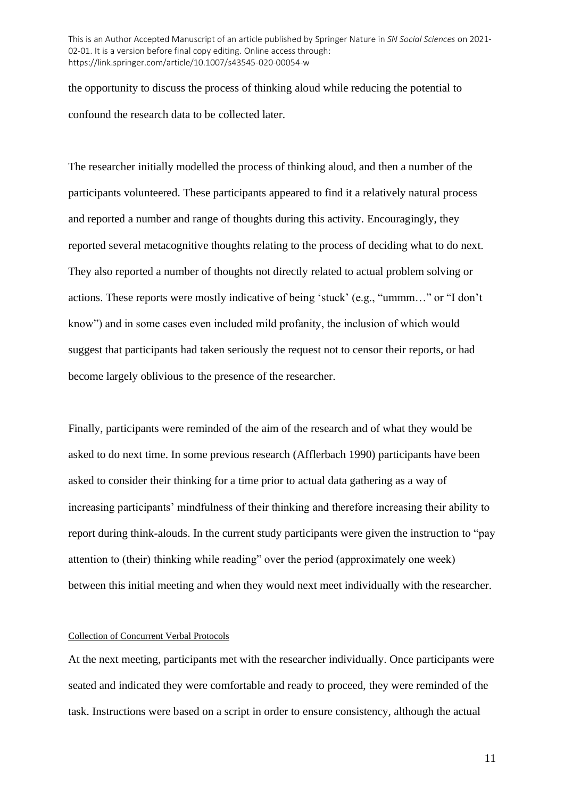the opportunity to discuss the process of thinking aloud while reducing the potential to confound the research data to be collected later.

The researcher initially modelled the process of thinking aloud, and then a number of the participants volunteered. These participants appeared to find it a relatively natural process and reported a number and range of thoughts during this activity. Encouragingly, they reported several metacognitive thoughts relating to the process of deciding what to do next. They also reported a number of thoughts not directly related to actual problem solving or actions. These reports were mostly indicative of being 'stuck' (e.g., "ummm…" or "I don't know") and in some cases even included mild profanity, the inclusion of which would suggest that participants had taken seriously the request not to censor their reports, or had become largely oblivious to the presence of the researcher.

Finally, participants were reminded of the aim of the research and of what they would be asked to do next time. In some previous research (Afflerbach 1990) participants have been asked to consider their thinking for a time prior to actual data gathering as a way of increasing participants' mindfulness of their thinking and therefore increasing their ability to report during think-alouds. In the current study participants were given the instruction to "pay attention to (their) thinking while reading" over the period (approximately one week) between this initial meeting and when they would next meet individually with the researcher.

#### Collection of Concurrent Verbal Protocols

At the next meeting, participants met with the researcher individually. Once participants were seated and indicated they were comfortable and ready to proceed, they were reminded of the task. Instructions were based on a script in order to ensure consistency, although the actual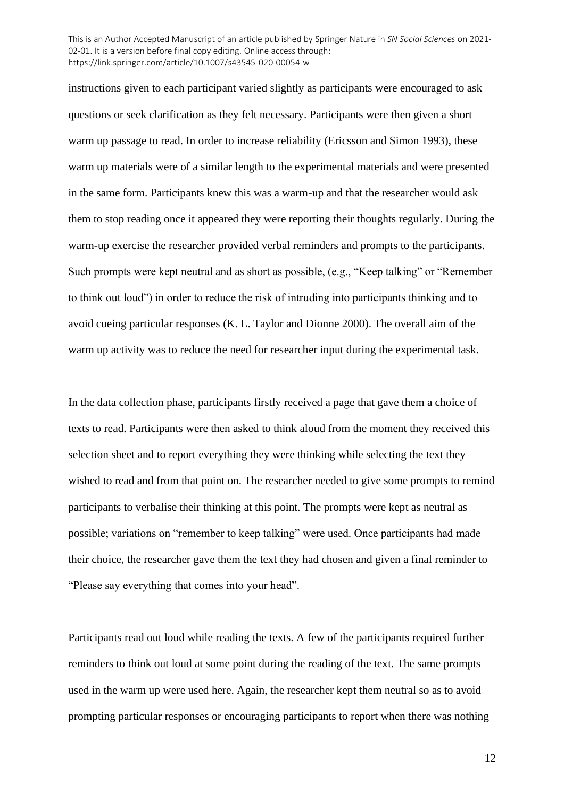instructions given to each participant varied slightly as participants were encouraged to ask questions or seek clarification as they felt necessary. Participants were then given a short warm up passage to read. In order to increase reliability (Ericsson and Simon 1993), these warm up materials were of a similar length to the experimental materials and were presented in the same form. Participants knew this was a warm-up and that the researcher would ask them to stop reading once it appeared they were reporting their thoughts regularly. During the warm-up exercise the researcher provided verbal reminders and prompts to the participants. Such prompts were kept neutral and as short as possible, (e.g., "Keep talking" or "Remember to think out loud") in order to reduce the risk of intruding into participants thinking and to avoid cueing particular responses (K. L. Taylor and Dionne 2000). The overall aim of the warm up activity was to reduce the need for researcher input during the experimental task.

In the data collection phase, participants firstly received a page that gave them a choice of texts to read. Participants were then asked to think aloud from the moment they received this selection sheet and to report everything they were thinking while selecting the text they wished to read and from that point on. The researcher needed to give some prompts to remind participants to verbalise their thinking at this point. The prompts were kept as neutral as possible; variations on "remember to keep talking" were used. Once participants had made their choice, the researcher gave them the text they had chosen and given a final reminder to "Please say everything that comes into your head".

Participants read out loud while reading the texts. A few of the participants required further reminders to think out loud at some point during the reading of the text. The same prompts used in the warm up were used here. Again, the researcher kept them neutral so as to avoid prompting particular responses or encouraging participants to report when there was nothing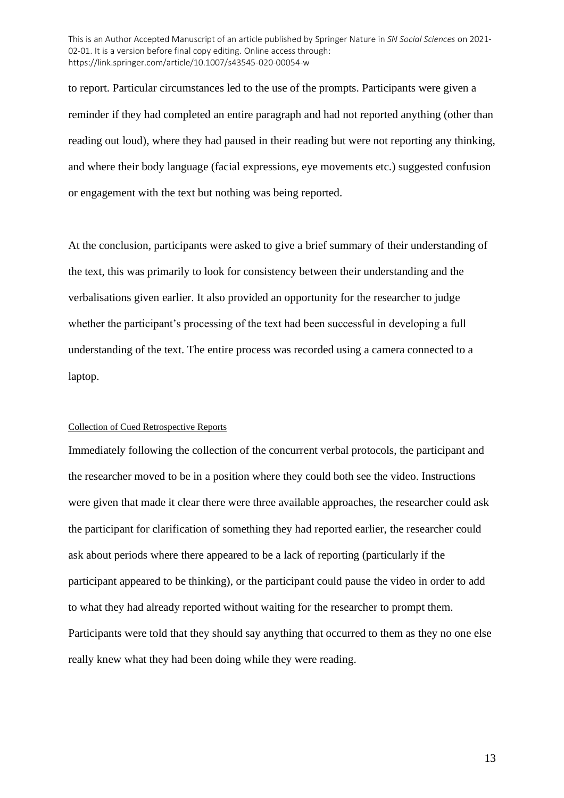to report. Particular circumstances led to the use of the prompts. Participants were given a reminder if they had completed an entire paragraph and had not reported anything (other than reading out loud), where they had paused in their reading but were not reporting any thinking, and where their body language (facial expressions, eye movements etc.) suggested confusion or engagement with the text but nothing was being reported.

At the conclusion, participants were asked to give a brief summary of their understanding of the text, this was primarily to look for consistency between their understanding and the verbalisations given earlier. It also provided an opportunity for the researcher to judge whether the participant's processing of the text had been successful in developing a full understanding of the text. The entire process was recorded using a camera connected to a laptop.

### Collection of Cued Retrospective Reports

Immediately following the collection of the concurrent verbal protocols, the participant and the researcher moved to be in a position where they could both see the video. Instructions were given that made it clear there were three available approaches, the researcher could ask the participant for clarification of something they had reported earlier, the researcher could ask about periods where there appeared to be a lack of reporting (particularly if the participant appeared to be thinking), or the participant could pause the video in order to add to what they had already reported without waiting for the researcher to prompt them. Participants were told that they should say anything that occurred to them as they no one else really knew what they had been doing while they were reading.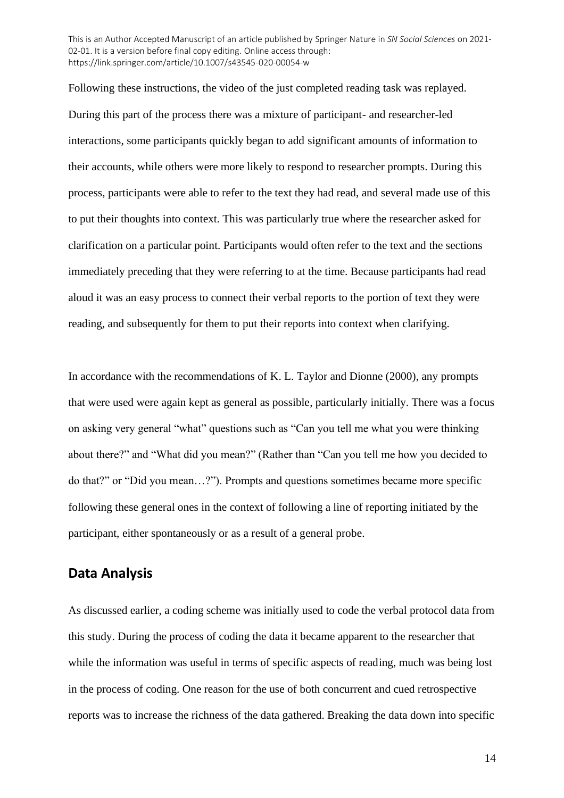Following these instructions, the video of the just completed reading task was replayed. During this part of the process there was a mixture of participant- and researcher-led interactions, some participants quickly began to add significant amounts of information to their accounts, while others were more likely to respond to researcher prompts. During this process, participants were able to refer to the text they had read, and several made use of this to put their thoughts into context. This was particularly true where the researcher asked for clarification on a particular point. Participants would often refer to the text and the sections immediately preceding that they were referring to at the time. Because participants had read aloud it was an easy process to connect their verbal reports to the portion of text they were reading, and subsequently for them to put their reports into context when clarifying.

In accordance with the recommendations of K. L. Taylor and Dionne (2000), any prompts that were used were again kept as general as possible, particularly initially. There was a focus on asking very general "what" questions such as "Can you tell me what you were thinking about there?" and "What did you mean?" (Rather than "Can you tell me how you decided to do that?" or "Did you mean…?"). Prompts and questions sometimes became more specific following these general ones in the context of following a line of reporting initiated by the participant, either spontaneously or as a result of a general probe.

### **Data Analysis**

As discussed earlier, a coding scheme was initially used to code the verbal protocol data from this study. During the process of coding the data it became apparent to the researcher that while the information was useful in terms of specific aspects of reading, much was being lost in the process of coding. One reason for the use of both concurrent and cued retrospective reports was to increase the richness of the data gathered. Breaking the data down into specific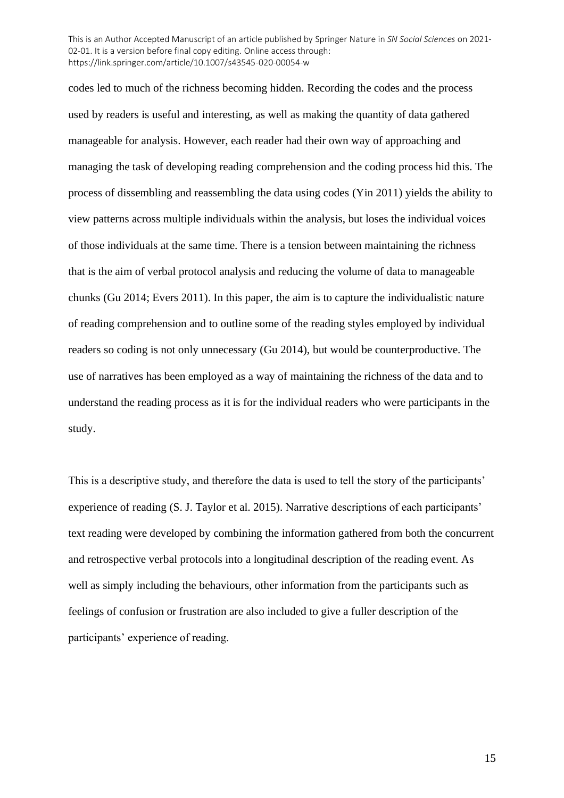codes led to much of the richness becoming hidden. Recording the codes and the process used by readers is useful and interesting, as well as making the quantity of data gathered manageable for analysis. However, each reader had their own way of approaching and managing the task of developing reading comprehension and the coding process hid this. The process of dissembling and reassembling the data using codes (Yin 2011) yields the ability to view patterns across multiple individuals within the analysis, but loses the individual voices of those individuals at the same time. There is a tension between maintaining the richness that is the aim of verbal protocol analysis and reducing the volume of data to manageable chunks (Gu 2014; Evers 2011). In this paper, the aim is to capture the individualistic nature of reading comprehension and to outline some of the reading styles employed by individual readers so coding is not only unnecessary (Gu 2014), but would be counterproductive. The use of narratives has been employed as a way of maintaining the richness of the data and to understand the reading process as it is for the individual readers who were participants in the study.

This is a descriptive study, and therefore the data is used to tell the story of the participants' experience of reading (S. J. Taylor et al. 2015). Narrative descriptions of each participants' text reading were developed by combining the information gathered from both the concurrent and retrospective verbal protocols into a longitudinal description of the reading event. As well as simply including the behaviours, other information from the participants such as feelings of confusion or frustration are also included to give a fuller description of the participants' experience of reading.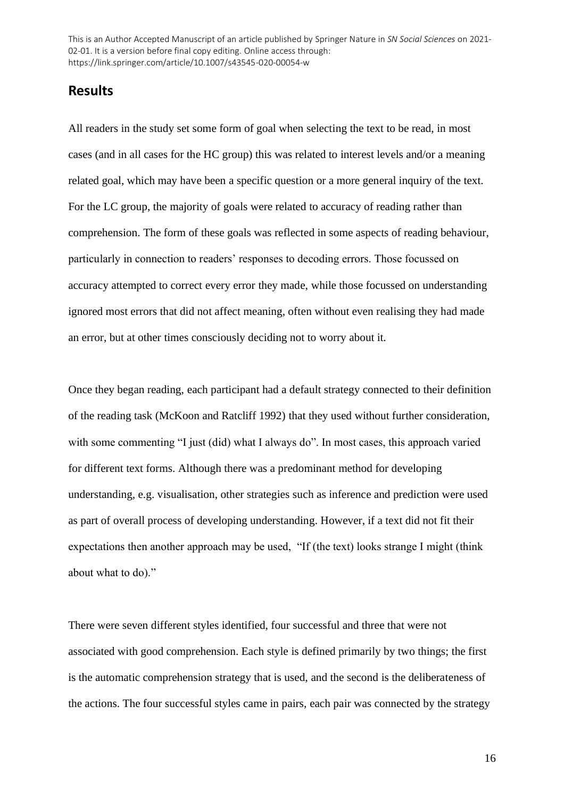# **Results**

All readers in the study set some form of goal when selecting the text to be read, in most cases (and in all cases for the HC group) this was related to interest levels and/or a meaning related goal, which may have been a specific question or a more general inquiry of the text. For the LC group, the majority of goals were related to accuracy of reading rather than comprehension. The form of these goals was reflected in some aspects of reading behaviour, particularly in connection to readers' responses to decoding errors. Those focussed on accuracy attempted to correct every error they made, while those focussed on understanding ignored most errors that did not affect meaning, often without even realising they had made an error, but at other times consciously deciding not to worry about it.

Once they began reading, each participant had a default strategy connected to their definition of the reading task (McKoon and Ratcliff 1992) that they used without further consideration, with some commenting "I just (did) what I always do". In most cases, this approach varied for different text forms. Although there was a predominant method for developing understanding, e.g. visualisation, other strategies such as inference and prediction were used as part of overall process of developing understanding. However, if a text did not fit their expectations then another approach may be used, "If (the text) looks strange I might (think about what to do)."

There were seven different styles identified, four successful and three that were not associated with good comprehension. Each style is defined primarily by two things; the first is the automatic comprehension strategy that is used, and the second is the deliberateness of the actions. The four successful styles came in pairs, each pair was connected by the strategy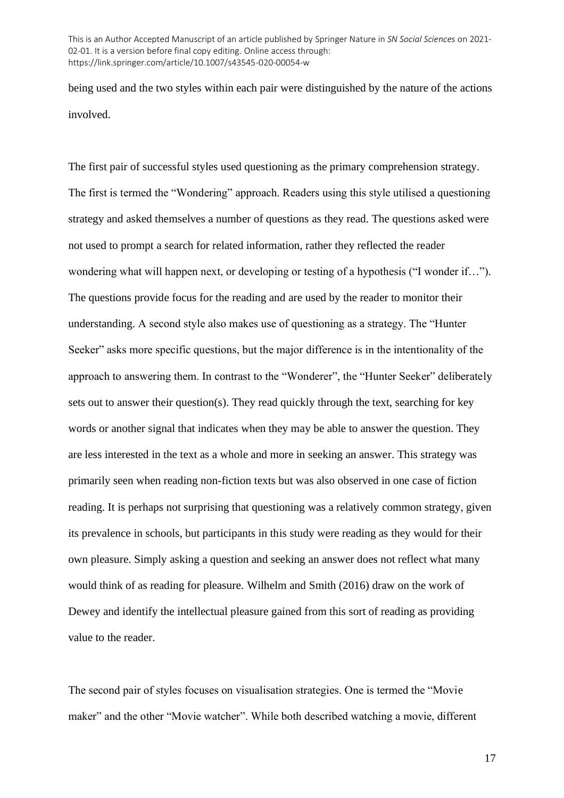being used and the two styles within each pair were distinguished by the nature of the actions involved.

The first pair of successful styles used questioning as the primary comprehension strategy. The first is termed the "Wondering" approach. Readers using this style utilised a questioning strategy and asked themselves a number of questions as they read. The questions asked were not used to prompt a search for related information, rather they reflected the reader wondering what will happen next, or developing or testing of a hypothesis ("I wonder if…"). The questions provide focus for the reading and are used by the reader to monitor their understanding. A second style also makes use of questioning as a strategy. The "Hunter Seeker" asks more specific questions, but the major difference is in the intentionality of the approach to answering them. In contrast to the "Wonderer", the "Hunter Seeker" deliberately sets out to answer their question(s). They read quickly through the text, searching for key words or another signal that indicates when they may be able to answer the question. They are less interested in the text as a whole and more in seeking an answer. This strategy was primarily seen when reading non-fiction texts but was also observed in one case of fiction reading. It is perhaps not surprising that questioning was a relatively common strategy, given its prevalence in schools, but participants in this study were reading as they would for their own pleasure. Simply asking a question and seeking an answer does not reflect what many would think of as reading for pleasure. Wilhelm and Smith (2016) draw on the work of Dewey and identify the intellectual pleasure gained from this sort of reading as providing value to the reader.

The second pair of styles focuses on visualisation strategies. One is termed the "Movie maker" and the other "Movie watcher". While both described watching a movie, different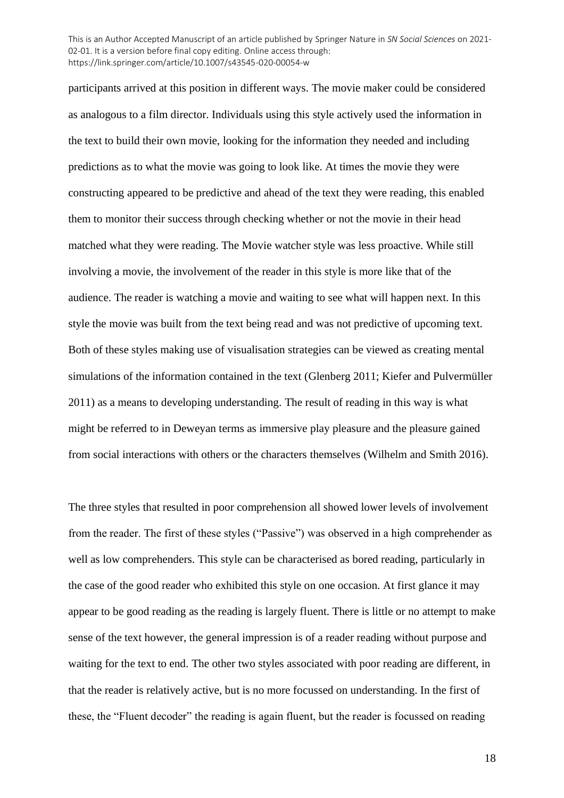participants arrived at this position in different ways. The movie maker could be considered as analogous to a film director. Individuals using this style actively used the information in the text to build their own movie, looking for the information they needed and including predictions as to what the movie was going to look like. At times the movie they were constructing appeared to be predictive and ahead of the text they were reading, this enabled them to monitor their success through checking whether or not the movie in their head matched what they were reading. The Movie watcher style was less proactive. While still involving a movie, the involvement of the reader in this style is more like that of the audience. The reader is watching a movie and waiting to see what will happen next. In this style the movie was built from the text being read and was not predictive of upcoming text. Both of these styles making use of visualisation strategies can be viewed as creating mental simulations of the information contained in the text (Glenberg 2011; Kiefer and Pulvermüller 2011) as a means to developing understanding. The result of reading in this way is what might be referred to in Deweyan terms as immersive play pleasure and the pleasure gained from social interactions with others or the characters themselves (Wilhelm and Smith 2016).

The three styles that resulted in poor comprehension all showed lower levels of involvement from the reader. The first of these styles ("Passive") was observed in a high comprehender as well as low comprehenders. This style can be characterised as bored reading, particularly in the case of the good reader who exhibited this style on one occasion. At first glance it may appear to be good reading as the reading is largely fluent. There is little or no attempt to make sense of the text however, the general impression is of a reader reading without purpose and waiting for the text to end. The other two styles associated with poor reading are different, in that the reader is relatively active, but is no more focussed on understanding. In the first of these, the "Fluent decoder" the reading is again fluent, but the reader is focussed on reading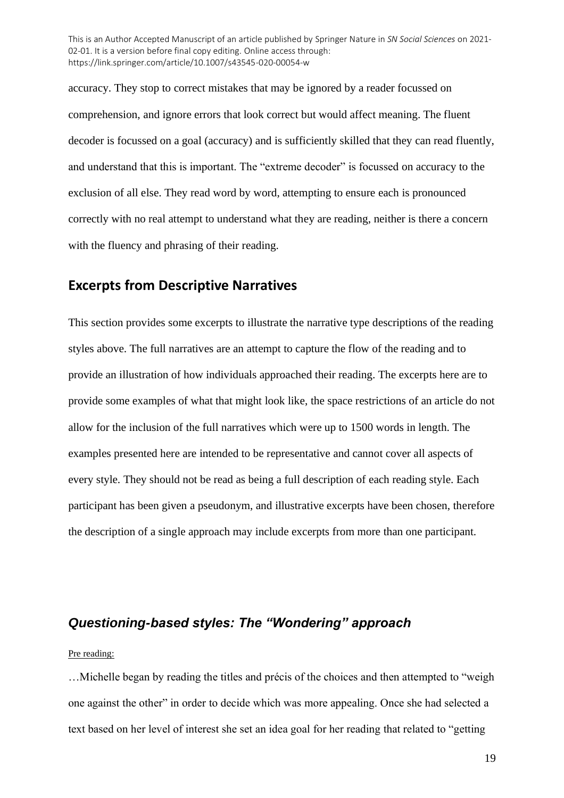accuracy. They stop to correct mistakes that may be ignored by a reader focussed on comprehension, and ignore errors that look correct but would affect meaning. The fluent decoder is focussed on a goal (accuracy) and is sufficiently skilled that they can read fluently, and understand that this is important. The "extreme decoder" is focussed on accuracy to the exclusion of all else. They read word by word, attempting to ensure each is pronounced correctly with no real attempt to understand what they are reading, neither is there a concern with the fluency and phrasing of their reading.

### **Excerpts from Descriptive Narratives**

This section provides some excerpts to illustrate the narrative type descriptions of the reading styles above. The full narratives are an attempt to capture the flow of the reading and to provide an illustration of how individuals approached their reading. The excerpts here are to provide some examples of what that might look like, the space restrictions of an article do not allow for the inclusion of the full narratives which were up to 1500 words in length. The examples presented here are intended to be representative and cannot cover all aspects of every style. They should not be read as being a full description of each reading style. Each participant has been given a pseudonym, and illustrative excerpts have been chosen, therefore the description of a single approach may include excerpts from more than one participant.

## *Questioning-based styles: The "Wondering" approach*

### Pre reading:

…Michelle began by reading the titles and précis of the choices and then attempted to "weigh one against the other" in order to decide which was more appealing. Once she had selected a text based on her level of interest she set an idea goal for her reading that related to "getting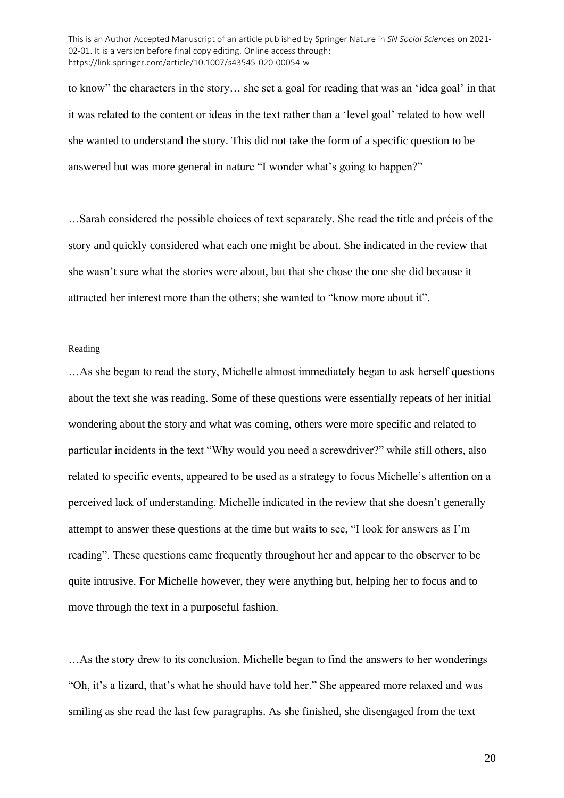to know" the characters in the story… she set a goal for reading that was an 'idea goal' in that it was related to the content or ideas in the text rather than a 'level goal' related to how well she wanted to understand the story. This did not take the form of a specific question to be answered but was more general in nature "I wonder what's going to happen?"

…Sarah considered the possible choices of text separately. She read the title and précis of the story and quickly considered what each one might be about. She indicated in the review that she wasn't sure what the stories were about, but that she chose the one she did because it attracted her interest more than the others; she wanted to "know more about it".

#### Reading

…As she began to read the story, Michelle almost immediately began to ask herself questions about the text she was reading. Some of these questions were essentially repeats of her initial wondering about the story and what was coming, others were more specific and related to particular incidents in the text "Why would you need a screwdriver?" while still others, also related to specific events, appeared to be used as a strategy to focus Michelle's attention on a perceived lack of understanding. Michelle indicated in the review that she doesn't generally attempt to answer these questions at the time but waits to see, "I look for answers as I'm reading". These questions came frequently throughout her and appear to the observer to be quite intrusive. For Michelle however, they were anything but, helping her to focus and to move through the text in a purposeful fashion.

…As the story drew to its conclusion, Michelle began to find the answers to her wonderings "Oh, it's a lizard, that's what he should have told her." She appeared more relaxed and was smiling as she read the last few paragraphs. As she finished, she disengaged from the text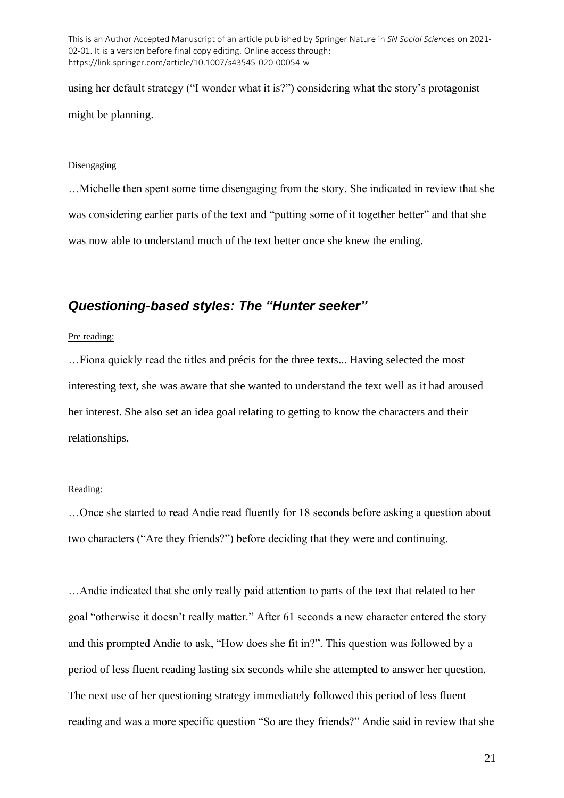using her default strategy ("I wonder what it is?") considering what the story's protagonist might be planning.

#### Disengaging

…Michelle then spent some time disengaging from the story. She indicated in review that she was considering earlier parts of the text and "putting some of it together better" and that she was now able to understand much of the text better once she knew the ending.

# *Questioning-based styles: The "Hunter seeker"*

Pre reading:

…Fiona quickly read the titles and précis for the three texts... Having selected the most interesting text, she was aware that she wanted to understand the text well as it had aroused her interest. She also set an idea goal relating to getting to know the characters and their relationships.

### Reading:

…Once she started to read Andie read fluently for 18 seconds before asking a question about two characters ("Are they friends?") before deciding that they were and continuing.

…Andie indicated that she only really paid attention to parts of the text that related to her goal "otherwise it doesn't really matter." After 61 seconds a new character entered the story and this prompted Andie to ask, "How does she fit in?". This question was followed by a period of less fluent reading lasting six seconds while she attempted to answer her question. The next use of her questioning strategy immediately followed this period of less fluent reading and was a more specific question "So are they friends?" Andie said in review that she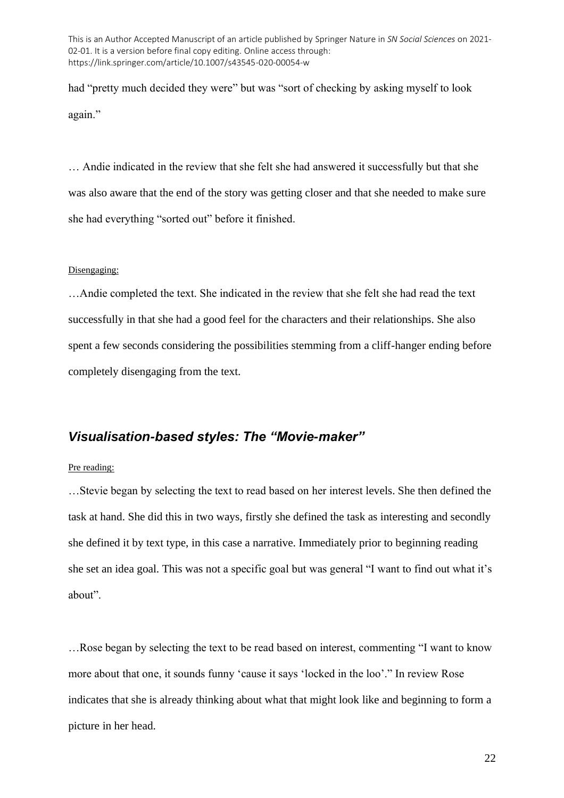had "pretty much decided they were" but was "sort of checking by asking myself to look again."

… Andie indicated in the review that she felt she had answered it successfully but that she was also aware that the end of the story was getting closer and that she needed to make sure she had everything "sorted out" before it finished.

#### Disengaging:

…Andie completed the text. She indicated in the review that she felt she had read the text successfully in that she had a good feel for the characters and their relationships. She also spent a few seconds considering the possibilities stemming from a cliff-hanger ending before completely disengaging from the text.

## *Visualisation-based styles: The "Movie-maker"*

### Pre reading:

…Stevie began by selecting the text to read based on her interest levels. She then defined the task at hand. She did this in two ways, firstly she defined the task as interesting and secondly she defined it by text type, in this case a narrative. Immediately prior to beginning reading she set an idea goal. This was not a specific goal but was general "I want to find out what it's about".

…Rose began by selecting the text to be read based on interest, commenting "I want to know more about that one, it sounds funny 'cause it says 'locked in the loo'." In review Rose indicates that she is already thinking about what that might look like and beginning to form a picture in her head.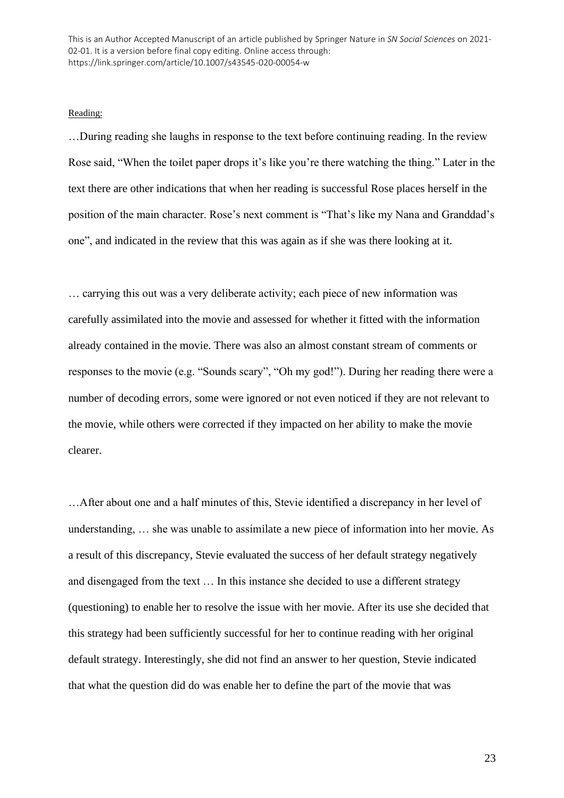#### Reading:

…During reading she laughs in response to the text before continuing reading. In the review Rose said, "When the toilet paper drops it's like you're there watching the thing." Later in the text there are other indications that when her reading is successful Rose places herself in the position of the main character. Rose's next comment is "That's like my Nana and Granddad's one", and indicated in the review that this was again as if she was there looking at it.

… carrying this out was a very deliberate activity; each piece of new information was carefully assimilated into the movie and assessed for whether it fitted with the information already contained in the movie. There was also an almost constant stream of comments or responses to the movie (e.g. "Sounds scary", "Oh my god!"). During her reading there were a number of decoding errors, some were ignored or not even noticed if they are not relevant to the movie, while others were corrected if they impacted on her ability to make the movie clearer.

…After about one and a half minutes of this, Stevie identified a discrepancy in her level of understanding, … she was unable to assimilate a new piece of information into her movie. As a result of this discrepancy, Stevie evaluated the success of her default strategy negatively and disengaged from the text … In this instance she decided to use a different strategy (questioning) to enable her to resolve the issue with her movie. After its use she decided that this strategy had been sufficiently successful for her to continue reading with her original default strategy. Interestingly, she did not find an answer to her question, Stevie indicated that what the question did do was enable her to define the part of the movie that was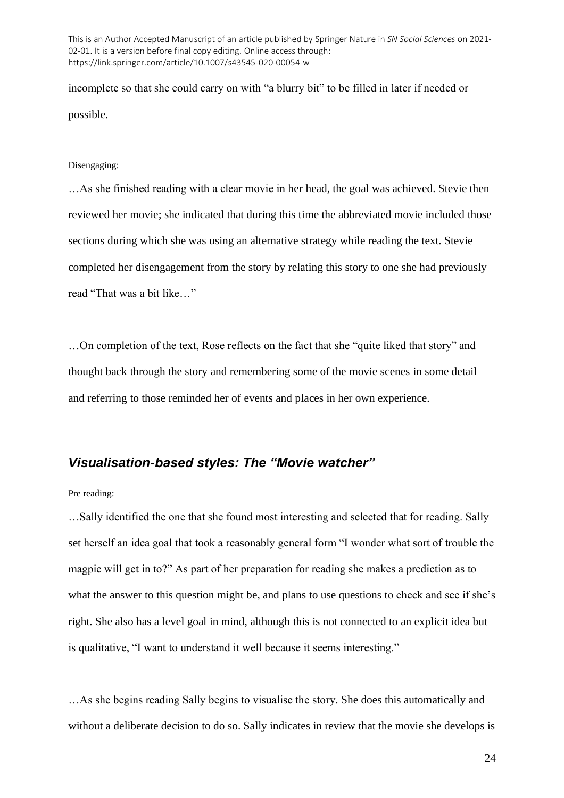incomplete so that she could carry on with "a blurry bit" to be filled in later if needed or possible.

#### Disengaging:

…As she finished reading with a clear movie in her head, the goal was achieved. Stevie then reviewed her movie; she indicated that during this time the abbreviated movie included those sections during which she was using an alternative strategy while reading the text. Stevie completed her disengagement from the story by relating this story to one she had previously read "That was a bit like…"

…On completion of the text, Rose reflects on the fact that she "quite liked that story" and thought back through the story and remembering some of the movie scenes in some detail and referring to those reminded her of events and places in her own experience.

# *Visualisation-based styles: The "Movie watcher"*

Pre reading:

…Sally identified the one that she found most interesting and selected that for reading. Sally set herself an idea goal that took a reasonably general form "I wonder what sort of trouble the magpie will get in to?" As part of her preparation for reading she makes a prediction as to what the answer to this question might be, and plans to use questions to check and see if she's right. She also has a level goal in mind, although this is not connected to an explicit idea but is qualitative, "I want to understand it well because it seems interesting."

…As she begins reading Sally begins to visualise the story. She does this automatically and without a deliberate decision to do so. Sally indicates in review that the movie she develops is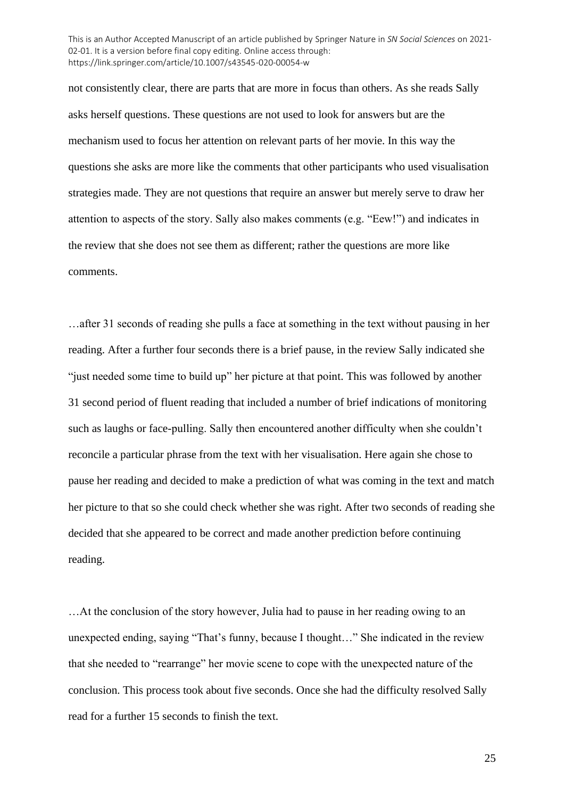not consistently clear, there are parts that are more in focus than others. As she reads Sally asks herself questions. These questions are not used to look for answers but are the mechanism used to focus her attention on relevant parts of her movie. In this way the questions she asks are more like the comments that other participants who used visualisation strategies made. They are not questions that require an answer but merely serve to draw her attention to aspects of the story. Sally also makes comments (e.g. "Eew!") and indicates in the review that she does not see them as different; rather the questions are more like comments.

…after 31 seconds of reading she pulls a face at something in the text without pausing in her reading. After a further four seconds there is a brief pause, in the review Sally indicated she "just needed some time to build up" her picture at that point. This was followed by another 31 second period of fluent reading that included a number of brief indications of monitoring such as laughs or face-pulling. Sally then encountered another difficulty when she couldn't reconcile a particular phrase from the text with her visualisation. Here again she chose to pause her reading and decided to make a prediction of what was coming in the text and match her picture to that so she could check whether she was right. After two seconds of reading she decided that she appeared to be correct and made another prediction before continuing reading.

…At the conclusion of the story however, Julia had to pause in her reading owing to an unexpected ending, saying "That's funny, because I thought…" She indicated in the review that she needed to "rearrange" her movie scene to cope with the unexpected nature of the conclusion. This process took about five seconds. Once she had the difficulty resolved Sally read for a further 15 seconds to finish the text.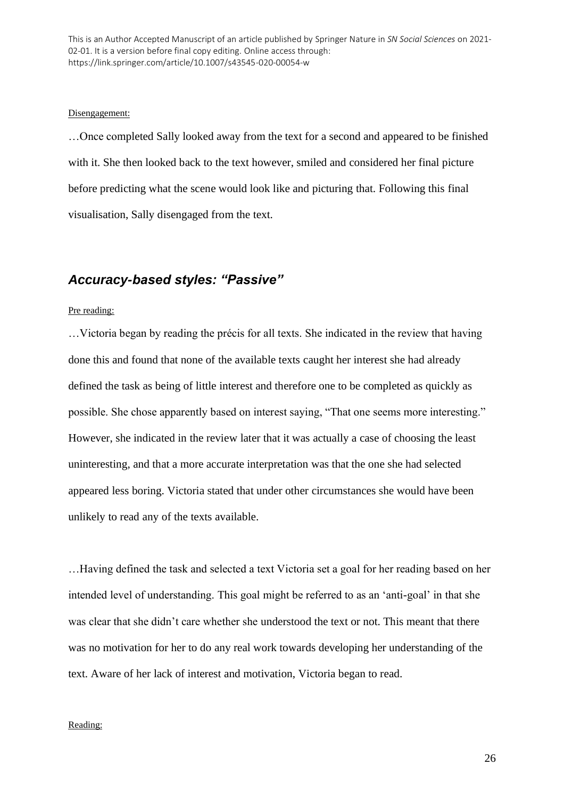#### Disengagement:

…Once completed Sally looked away from the text for a second and appeared to be finished with it. She then looked back to the text however, smiled and considered her final picture before predicting what the scene would look like and picturing that. Following this final visualisation, Sally disengaged from the text.

# *Accuracy-based styles: "Passive"*

### Pre reading:

…Victoria began by reading the précis for all texts. She indicated in the review that having done this and found that none of the available texts caught her interest she had already defined the task as being of little interest and therefore one to be completed as quickly as possible. She chose apparently based on interest saying, "That one seems more interesting." However, she indicated in the review later that it was actually a case of choosing the least uninteresting, and that a more accurate interpretation was that the one she had selected appeared less boring. Victoria stated that under other circumstances she would have been unlikely to read any of the texts available.

…Having defined the task and selected a text Victoria set a goal for her reading based on her intended level of understanding. This goal might be referred to as an 'anti-goal' in that she was clear that she didn't care whether she understood the text or not. This meant that there was no motivation for her to do any real work towards developing her understanding of the text. Aware of her lack of interest and motivation, Victoria began to read.

### Reading: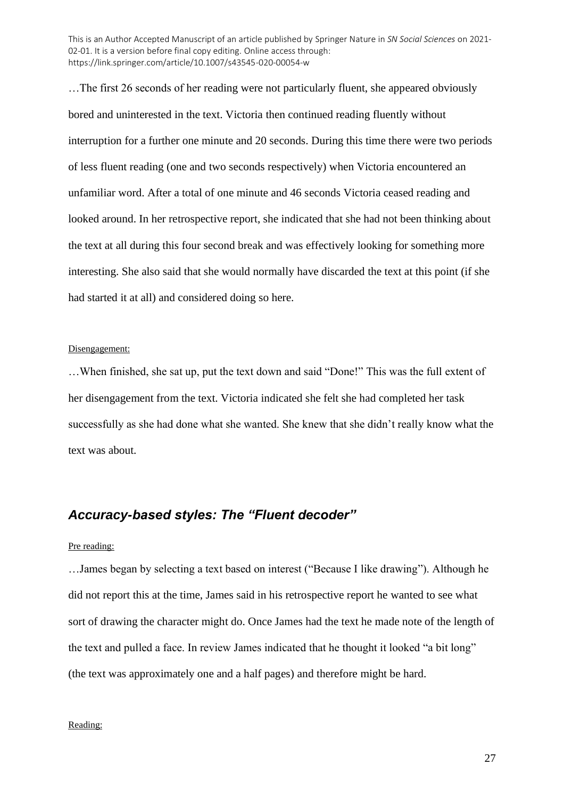…The first 26 seconds of her reading were not particularly fluent, she appeared obviously bored and uninterested in the text. Victoria then continued reading fluently without interruption for a further one minute and 20 seconds. During this time there were two periods of less fluent reading (one and two seconds respectively) when Victoria encountered an unfamiliar word. After a total of one minute and 46 seconds Victoria ceased reading and looked around. In her retrospective report, she indicated that she had not been thinking about the text at all during this four second break and was effectively looking for something more interesting. She also said that she would normally have discarded the text at this point (if she had started it at all) and considered doing so here.

### Disengagement:

…When finished, she sat up, put the text down and said "Done!" This was the full extent of her disengagement from the text. Victoria indicated she felt she had completed her task successfully as she had done what she wanted. She knew that she didn't really know what the text was about.

### *Accuracy-based styles: The "Fluent decoder"*

### Pre reading:

…James began by selecting a text based on interest ("Because I like drawing"). Although he did not report this at the time, James said in his retrospective report he wanted to see what sort of drawing the character might do. Once James had the text he made note of the length of the text and pulled a face. In review James indicated that he thought it looked "a bit long" (the text was approximately one and a half pages) and therefore might be hard.

### Reading: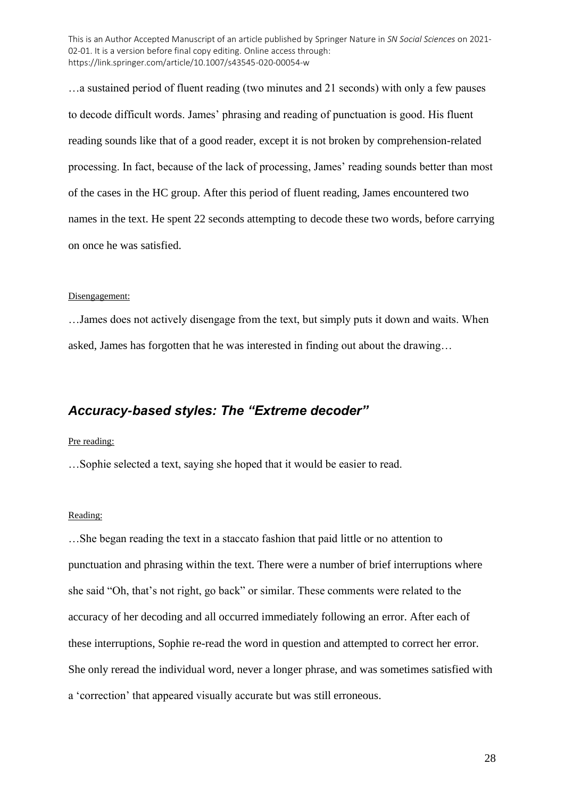…a sustained period of fluent reading (two minutes and 21 seconds) with only a few pauses to decode difficult words. James' phrasing and reading of punctuation is good. His fluent reading sounds like that of a good reader, except it is not broken by comprehension-related processing. In fact, because of the lack of processing, James' reading sounds better than most of the cases in the HC group. After this period of fluent reading, James encountered two names in the text. He spent 22 seconds attempting to decode these two words, before carrying on once he was satisfied.

#### Disengagement:

…James does not actively disengage from the text, but simply puts it down and waits. When asked, James has forgotten that he was interested in finding out about the drawing…

### *Accuracy-based styles: The "Extreme decoder"*

### Pre reading:

…Sophie selected a text, saying she hoped that it would be easier to read.

#### Reading:

…She began reading the text in a staccato fashion that paid little or no attention to punctuation and phrasing within the text. There were a number of brief interruptions where she said "Oh, that's not right, go back" or similar. These comments were related to the accuracy of her decoding and all occurred immediately following an error. After each of these interruptions, Sophie re-read the word in question and attempted to correct her error. She only reread the individual word, never a longer phrase, and was sometimes satisfied with a 'correction' that appeared visually accurate but was still erroneous.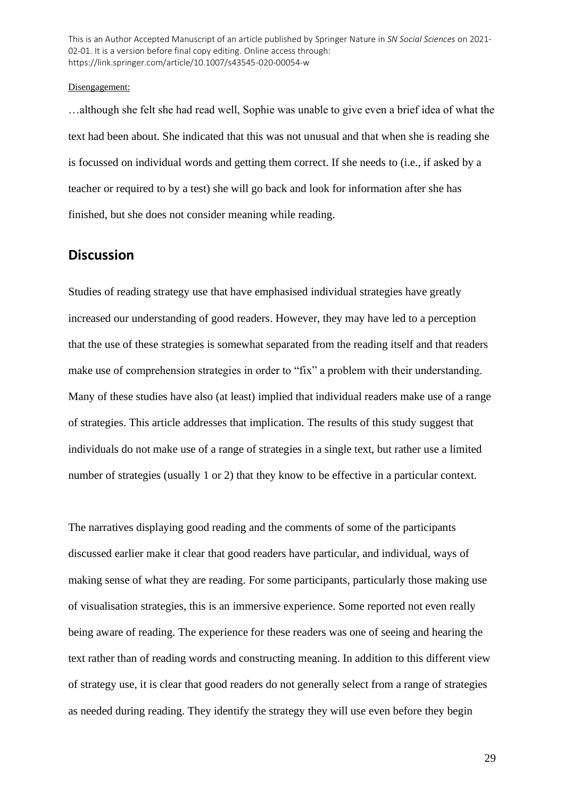#### Disengagement:

…although she felt she had read well, Sophie was unable to give even a brief idea of what the text had been about. She indicated that this was not unusual and that when she is reading she is focussed on individual words and getting them correct. If she needs to (i.e., if asked by a teacher or required to by a test) she will go back and look for information after she has finished, but she does not consider meaning while reading.

## **Discussion**

Studies of reading strategy use that have emphasised individual strategies have greatly increased our understanding of good readers. However, they may have led to a perception that the use of these strategies is somewhat separated from the reading itself and that readers make use of comprehension strategies in order to "fix" a problem with their understanding. Many of these studies have also (at least) implied that individual readers make use of a range of strategies. This article addresses that implication. The results of this study suggest that individuals do not make use of a range of strategies in a single text, but rather use a limited number of strategies (usually 1 or 2) that they know to be effective in a particular context.

The narratives displaying good reading and the comments of some of the participants discussed earlier make it clear that good readers have particular, and individual, ways of making sense of what they are reading. For some participants, particularly those making use of visualisation strategies, this is an immersive experience. Some reported not even really being aware of reading. The experience for these readers was one of seeing and hearing the text rather than of reading words and constructing meaning. In addition to this different view of strategy use, it is clear that good readers do not generally select from a range of strategies as needed during reading. They identify the strategy they will use even before they begin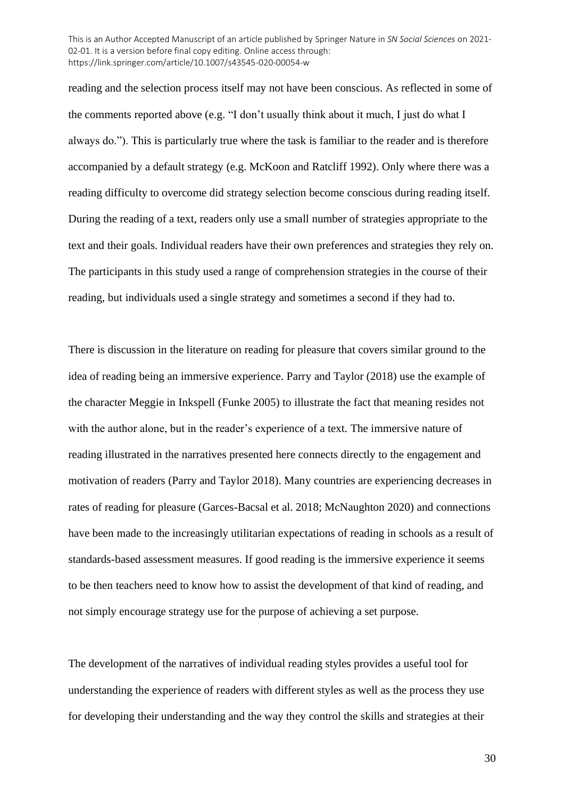reading and the selection process itself may not have been conscious. As reflected in some of the comments reported above (e.g. "I don't usually think about it much, I just do what I always do."). This is particularly true where the task is familiar to the reader and is therefore accompanied by a default strategy (e.g. McKoon and Ratcliff 1992). Only where there was a reading difficulty to overcome did strategy selection become conscious during reading itself. During the reading of a text, readers only use a small number of strategies appropriate to the text and their goals. Individual readers have their own preferences and strategies they rely on. The participants in this study used a range of comprehension strategies in the course of their reading, but individuals used a single strategy and sometimes a second if they had to.

There is discussion in the literature on reading for pleasure that covers similar ground to the idea of reading being an immersive experience. Parry and Taylor (2018) use the example of the character Meggie in Inkspell (Funke 2005) to illustrate the fact that meaning resides not with the author alone, but in the reader's experience of a text. The immersive nature of reading illustrated in the narratives presented here connects directly to the engagement and motivation of readers (Parry and Taylor 2018). Many countries are experiencing decreases in rates of reading for pleasure (Garces-Bacsal et al. 2018; McNaughton 2020) and connections have been made to the increasingly utilitarian expectations of reading in schools as a result of standards-based assessment measures. If good reading is the immersive experience it seems to be then teachers need to know how to assist the development of that kind of reading, and not simply encourage strategy use for the purpose of achieving a set purpose.

The development of the narratives of individual reading styles provides a useful tool for understanding the experience of readers with different styles as well as the process they use for developing their understanding and the way they control the skills and strategies at their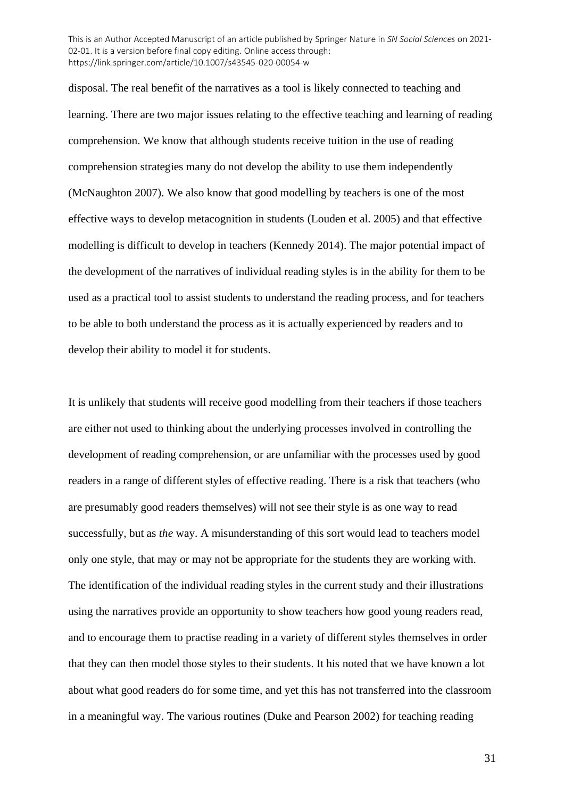disposal. The real benefit of the narratives as a tool is likely connected to teaching and learning. There are two major issues relating to the effective teaching and learning of reading comprehension. We know that although students receive tuition in the use of reading comprehension strategies many do not develop the ability to use them independently (McNaughton 2007). We also know that good modelling by teachers is one of the most effective ways to develop metacognition in students (Louden et al. 2005) and that effective modelling is difficult to develop in teachers (Kennedy 2014). The major potential impact of the development of the narratives of individual reading styles is in the ability for them to be used as a practical tool to assist students to understand the reading process, and for teachers to be able to both understand the process as it is actually experienced by readers and to develop their ability to model it for students.

It is unlikely that students will receive good modelling from their teachers if those teachers are either not used to thinking about the underlying processes involved in controlling the development of reading comprehension, or are unfamiliar with the processes used by good readers in a range of different styles of effective reading. There is a risk that teachers (who are presumably good readers themselves) will not see their style is as one way to read successfully, but as *the* way. A misunderstanding of this sort would lead to teachers model only one style, that may or may not be appropriate for the students they are working with. The identification of the individual reading styles in the current study and their illustrations using the narratives provide an opportunity to show teachers how good young readers read, and to encourage them to practise reading in a variety of different styles themselves in order that they can then model those styles to their students. It his noted that we have known a lot about what good readers do for some time, and yet this has not transferred into the classroom in a meaningful way. The various routines (Duke and Pearson 2002) for teaching reading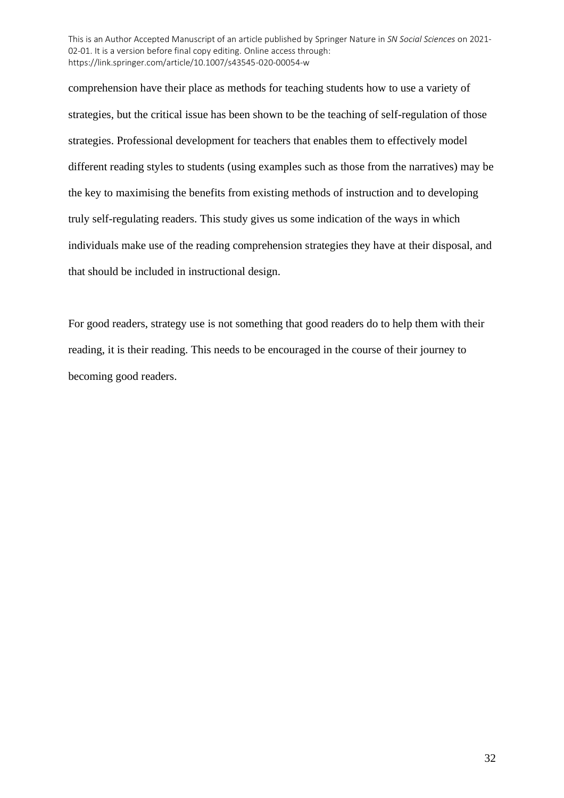comprehension have their place as methods for teaching students how to use a variety of strategies, but the critical issue has been shown to be the teaching of self-regulation of those strategies. Professional development for teachers that enables them to effectively model different reading styles to students (using examples such as those from the narratives) may be the key to maximising the benefits from existing methods of instruction and to developing truly self-regulating readers. This study gives us some indication of the ways in which individuals make use of the reading comprehension strategies they have at their disposal, and that should be included in instructional design.

For good readers, strategy use is not something that good readers do to help them with their reading, it is their reading. This needs to be encouraged in the course of their journey to becoming good readers.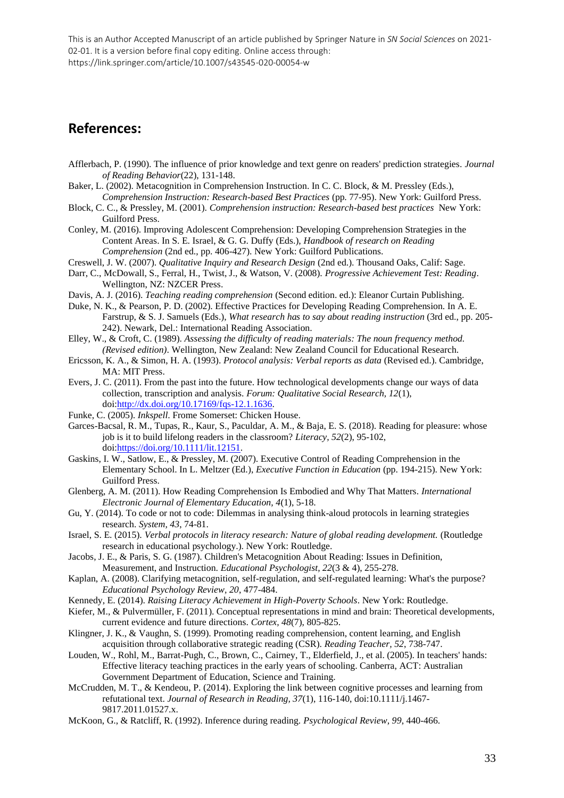# **References:**

- Afflerbach, P. (1990). The influence of prior knowledge and text genre on readers' prediction strategies. *Journal of Reading Behavior*(22), 131-148.
- Baker, L. (2002). Metacognition in Comprehension Instruction. In C. C. Block, & M. Pressley (Eds.), *Comprehension Instruction: Research-based Best Practices* (pp. 77-95). New York: Guilford Press.
- Block, C. C., & Pressley, M. (2001). *Comprehension instruction: Research-based best practices* New York: Guilford Press.

Conley, M. (2016). Improving Adolescent Comprehension: Developing Comprehension Strategies in the Content Areas. In S. E. Israel, & G. G. Duffy (Eds.), *Handbook of research on Reading Comprehension* (2nd ed., pp. 406-427). New York: Guilford Publications.

- Creswell, J. W. (2007). *Qualitative Inquiry and Research Design* (2nd ed.). Thousand Oaks, Calif: Sage.
- Darr, C., McDowall, S., Ferral, H., Twist, J., & Watson, V. (2008). *Progressive Achievement Test: Reading*. Wellington, NZ: NZCER Press.
- Davis, A. J. (2016). *Teaching reading comprehension* (Second edition. ed.): Eleanor Curtain Publishing.
- Duke, N. K., & Pearson, P. D. (2002). Effective Practices for Developing Reading Comprehension. In A. E. Farstrup, & S. J. Samuels (Eds.), *What research has to say about reading instruction* (3rd ed., pp. 205- 242). Newark, Del.: International Reading Association.
- Elley, W., & Croft, C. (1989). *Assessing the difficulty of reading materials: The noun frequency method. (Revised edition)*. Wellington, New Zealand: New Zealand Council for Educational Research.
- Ericsson, K. A., & Simon, H. A. (1993). *Protocol analysis: Verbal reports as data* (Revised ed.). Cambridge, MA: MIT Press.
- Evers, J. C. (2011). From the past into the future. How technological developments change our ways of data collection, transcription and analysis. *Forum: Qualitative Social Research, 12*(1), doi[:http://dx.doi.org/10.17169/fqs-12.1.1636.](http://dx.doi.org/10.17169/fqs-12.1.1636)
- Funke, C. (2005). *Inkspell*. Frome Somerset: Chicken House.
- Garces-Bacsal, R. M., Tupas, R., Kaur, S., Paculdar, A. M., & Baja, E. S. (2018). Reading for pleasure: whose job is it to build lifelong readers in the classroom? *Literacy, 52*(2), 95-102, doi[:https://doi.org/10.1111/lit.12151.](https://doi.org/10.1111/lit.12151)
- Gaskins, I. W., Satlow, E., & Pressley, M. (2007). Executive Control of Reading Comprehension in the Elementary School. In L. Meltzer (Ed.), *Executive Function in Education* (pp. 194-215). New York: Guilford Press.
- Glenberg, A. M. (2011). How Reading Comprehension Is Embodied and Why That Matters. *International Electronic Journal of Elementary Education, 4*(1), 5-18.
- Gu, Y. (2014). To code or not to code: Dilemmas in analysing think-aloud protocols in learning strategies research. *System, 43*, 74-81.
- Israel, S. E. (2015). *Verbal protocols in literacy research: Nature of global reading development.* (Routledge research in educational psychology.). New York: Routledge.
- Jacobs, J. E., & Paris, S. G. (1987). Children's Metacognition About Reading: Issues in Definition, Measurement, and Instruction. *Educational Psychologist, 22*(3 & 4), 255-278.
- Kaplan, A. (2008). Clarifying metacognition, self-regulation, and self-regulated learning: What's the purpose? *Educational Psychology Review, 20*, 477-484.
- Kennedy, E. (2014). *Raising Literacy Achievement in High-Poverty Schools*. New York: Routledge.
- Kiefer, M., & Pulvermüller, F. (2011). Conceptual representations in mind and brain: Theoretical developments, current evidence and future directions. *Cortex, 48*(7), 805-825.
- Klingner, J. K., & Vaughn, S. (1999). Promoting reading comprehension, content learning, and English acquisition through collaborative strategic reading (CSR). *Reading Teacher, 52*, 738-747.
- Louden, W., Rohl, M., Barrat-Pugh, C., Brown, C., Cairney, T., Elderfield, J., et al. (2005). In teachers' hands: Effective literacy teaching practices in the early years of schooling. Canberra, ACT: Australian Government Department of Education, Science and Training.
- McCrudden, M. T., & Kendeou, P. (2014). Exploring the link between cognitive processes and learning from refutational text. *Journal of Research in Reading, 37*(1), 116-140, doi:10.1111/j.1467- 9817.2011.01527.x.

McKoon, G., & Ratcliff, R. (1992). Inference during reading. *Psychological Review, 99*, 440-466.